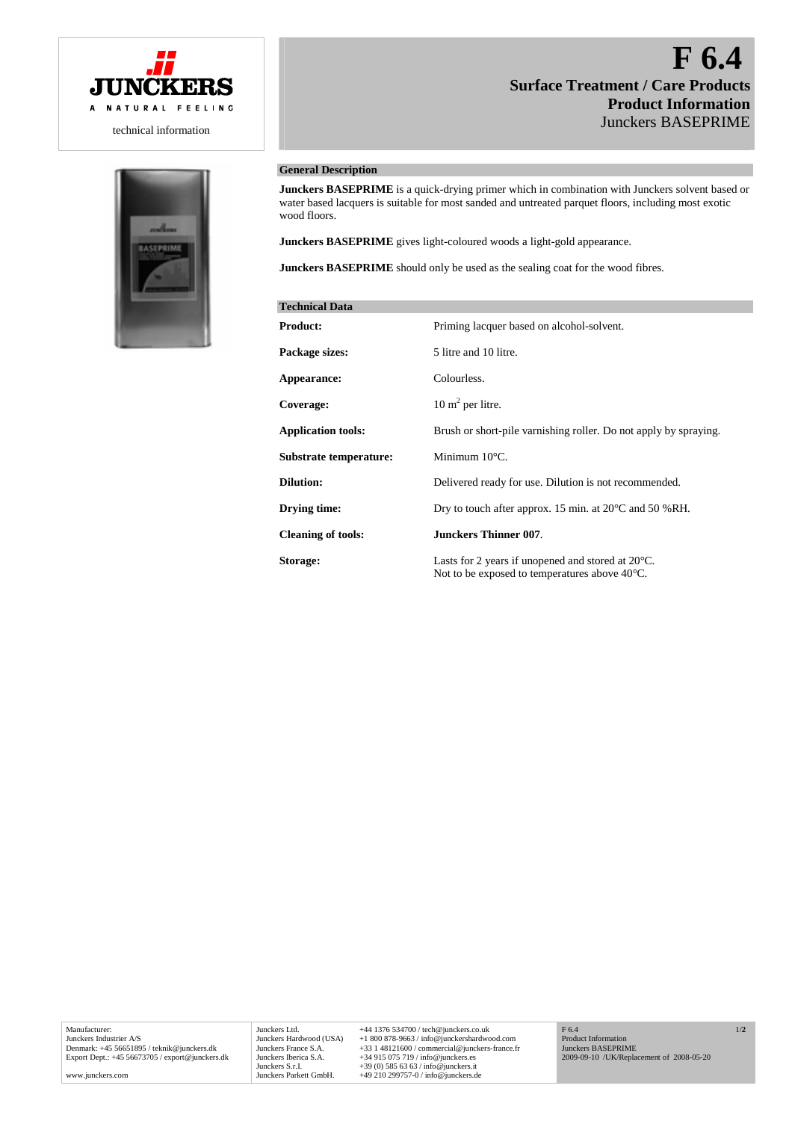

technical information



## **General Description**

**Junckers BASEPRIME** is a quick-drying primer which in combination with Junckers solvent based or water based lacquers is suitable for most sanded and untreated parquet floors, including most exotic wood floors.

**Junckers BASEPRIME** gives light-coloured woods a light-gold appearance.

**Junckers BASEPRIME** should only be used as the sealing coat for the wood fibres.

| <b>Technical Data</b>     |                                                                                                                        |
|---------------------------|------------------------------------------------------------------------------------------------------------------------|
| <b>Product:</b>           | Priming lacquer based on alcohol-solvent.                                                                              |
| Package sizes:            | 5 litre and 10 litre.                                                                                                  |
| Appearance:               | Colourless.                                                                                                            |
| Coverage:                 | $10 \text{ m}^2$ per litre.                                                                                            |
| <b>Application tools:</b> | Brush or short-pile varnishing roller. Do not apply by spraying.                                                       |
| Substrate temperature:    | Minimum $10^{\circ}$ C.                                                                                                |
| <b>Dilution:</b>          | Delivered ready for use. Dilution is not recommended.                                                                  |
| Drying time:              | Dry to touch after approx. 15 min. at $20^{\circ}$ C and 50 %RH.                                                       |
| <b>Cleaning of tools:</b> | <b>Junckers Thinner 007.</b>                                                                                           |
| Storage:                  | Lasts for 2 years if unopened and stored at $20^{\circ}$ C.<br>Not to be exposed to temperatures above $40^{\circ}$ C. |

Manufacturer: Junckers Industrier A/S Denmark: +45 56651895 / teknik@junckers.dk Export Dept.: +45 56673705 / export@junckers.dk

www.junckers.com

Junckers Ltd. +44 1376 534700 / tech@junckers.co.uk<br>Junckers Hardwood (USA) +1 800 878-9663 / info@junckershardwc Junckers Hardwood (USA) +1 800 878-9663 / info@junckershardwood.com<br>Junckers France S.A. +33 1 48121600 / commercial@junckers-france.<br>Junckers Iberica S.A. +34 915 075 719 / info@junckers.es Junckers France S.A. +33 1 48121600 / commercial@junckers-france.fr<br>Junckers Iberica S.A. +34 915 075 719 / info@junckers.es<br>Junckers S.r.I. +39 (0) 585 63 63 / info@junckers.it<br>Junckers Parkett GmbH. +49 210 299757-0 / in

Product Information Junckers BASEPRIME 2009-09-10 /UK/Replacement of 2008-05-20

F 6.4

1/**2**

# **F 6.4 Surface Treatment / Care Products Product Information** Junckers BASEPRIME